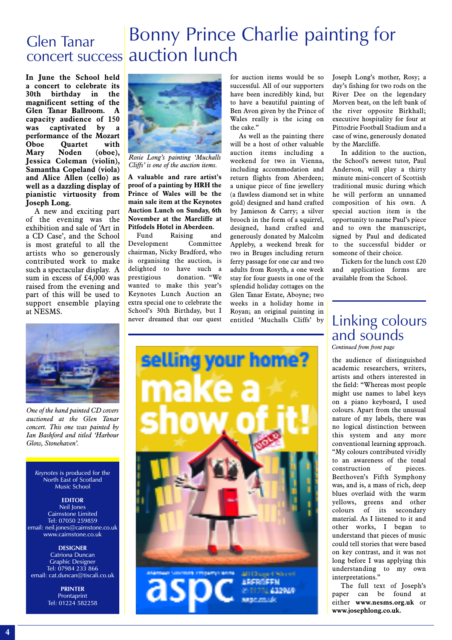### Bonny Prince Charlie painting for concert success auction lunch Glen Tanar

**In June the School held a concert to celebrate its 30th birthday in the magnificent setting of the Glen Tanar Ballroom. A capacity audience of 150 was captivated by a performance of the Mozart Oboe Quartet with Mary Noden (oboe), Jessica Coleman (violin), Samantha Copeland (viola) and Alice Allen (cello) as well as a dazzling display of pianistic virtuosity from Joseph Long.**

A new and exciting part of the evening was the exhibition and sale of 'Art in a CD Case', and the School is most grateful to all the artists who so generously contributed work to make such a spectacular display. A sum in excess of £4,000 was raised from the evening and part of this will be used to support ensemble playing at NESMS.



*Rosie Long's painting 'Muchalls Cliffs' is one of the auction items.*

**A valuable and rare artist's proof of a painting by HRH the Prince of Wales will be the main sale item at the Keynotes Auction Lunch on Sunday, 6th November at the Marcliffe at Pitfodels Hotel in Aberdeen.**

Fund Raising and Development Committee chairman, Nicky Bradford, who is organising the auction, is delighted to have such a prestigious donation. "We wanted to make this year's Keynotes Lunch Auction an extra special one to celebrate the School's 30th Birthday, but I never dreamed that our quest for auction items would be so successful. All of our supporters have been incredibly kind, but to have a beautiful painting of Ben Avon given by the Prince of Wales really is the icing on the cake."

As well as the painting there will be a host of other valuable auction items including a weekend for two in Vienna, including accommodation and return flights from Aberdeen; a unique piece of fine jewellery (a flawless diamond set in white gold) designed and hand crafted by Jamieson & Carry; a silver brooch in the form of a squirrel, designed, hand crafted and generously donated by Malcolm Appleby, a weekend break for two in Bruges including return ferry passage for one car and two adults from Rosyth, a one week stay for four guests in one of the splendid holiday cottages on the Glen Tanar Estate, Aboyne; two weeks in a holiday home in Royan; an original painting in entitled 'Muchalls Cliffs' by

Joseph Long's mother, Rosy; a day's fishing for two rods on the River Dee on the legendary Morven beat, on the left bank of the river opposite Birkhall; executive hospitality for four at Pittodrie Football Stadium and a case of wine, generously donated by the Marcliffe.

In addition to the auction, the School's newest tutor, Paul Anderson, will play a thirty minute mini-concert of Scottish traditional music during which he will perform an unnamed composition of his own. A special auction item is the opportunity to name Paul's piece and to own the manuscript, signed by Paul and dedicated to the successful bidder or someone of their choice.

Tickets for the lunch cost £20 and application forms are available from the School.

*One of the hand painted CD covers auctioned at the Glen Tanar concert. This one was painted by Ian Bashford and titled 'Harbour Glow, Stonehaven'.*

*Keynotes* is produced for the North East of Scotland Music School

#### **EDITOR** Neil Jones Cairnstone Limited Tel: 07050 259859 email: neil.jones@cairnstone.co.uk www.cairnstone.co.uk

**DESIGNER** Catriona Duncan Graphic Designer Tel: 07984 233 866 email: cat.duncan@tiscali.co.uk

> **PRINTER Prontaprint** Tel: 01224 582258



## Linking colours and sounds

*Continued from front page*

the audience of distinguished academic researchers, writers, artists and others interested in the field: "Whereas most people might use names to label keys on a piano keyboard, I used colours. Apart from the unusual nature of my labels, there was no logical distinction between this system and any more conventional learning approach. "My colours contributed vividly to an awareness of the tonal construction of pieces. Beethoven's Fifth Symphony was, and is, a mass of rich, deep blues overlaid with the warm yellows, greens and other colours of its secondary material. As I listened to it and other works, I began to understand that pieces of music could tell stories that were based on key contrast, and it was not long before I was applying this understanding to my own interpretations."

The full text of Joseph's paper can be found at either **www.nesms.org.uk** or **www.josephlong.co.uk.**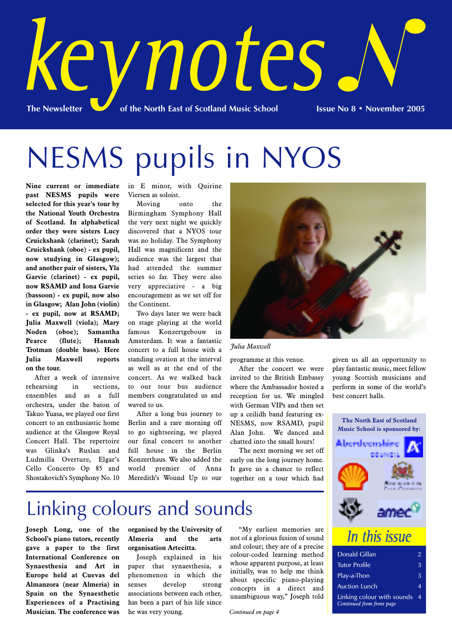

# NESMS pupils in NYOS

**Nine current or immediate past NESMS pupils were selected for this year's tour by the National Youth Orchestra of Scotland. In alphabetical order they were sisters Lucy Cruickshank (clarinet); Sarah Cruickshank (oboe) - ex pupil, now studying in Glasgow); and another pair of sisters, Yla Garvie (clarinet) - ex pupil, now RSAMD and Iona Garvie (bassoon) - ex pupil, now also in Glasgow; Alan John (violin) - ex pupil, now at RSAMD; Julia Maxwell (viola); Mary Noden (oboe); Samantha Pearce (flute); Hannah Trotman (double bass). Here Julia Maxwell reports on the tour.**

After a week of intensive rehearsing in sections, ensembles and as a full orchestra, under the baton of Takuo Yuasa, we played our first concert to an enthusiastic home audience at the Glasgow Royal Concert Hall. The repertoire was Glinka's Ruslan and Ludmilla Overture, Elgar's Cello Concerto Op 85 and Shostakovich's Symphony No. 10

in E minor, with Quirine Viersen as soloist.

Moving onto the Birmingham Symphony Hall the very next night we quickly discovered that a NYOS tour was no holiday. The Symphony Hall was magnificent and the audience was the largest that had attended the summer series so far. They were also very appreciative - a big encouragement as we set off for the Continent.

Two days later we were back on stage playing at the world famous Konzertgebouw in Amsterdam. It was a fantastic concert to a full house with a standing ovation at the interval as well as at the end of the concert. As we walked back to our tour bus audience members congratulated us and waved to us.

After a long bus journey to Berlin and a rare morning off to go sightseeing, we played our final concert to another full house in the Berlin Konzerthaus. We also added the world premier of Anna Meredith's Wound Up to our



#### *Julia Maxwell*

programme at this venue.

After the concert we were invited to the British Embassy where the Ambassador hosted a reception for us. We mingled with German VIPs and then set up a ceilidh band featuring ex-NESMS, now RSAMD, pupil Alan John. We danced and chatted into the small hours!

The next morning we set off early on the long journey home. It gave us a chance to reflect together on a tour which had

given us all an opportunity to play fantastic music, meet fellow young Scottish musicians and perform in some of the world's best concert halls.



## Linking colours and sounds

**Joseph Long, one of the School's piano tutors, recently gave a paper to the first International Conference on Synaesthesia and Art in Europe held at Cuevas del Almanzora (near Almeria) in Spain on the Synaesthetic Experiences of a Practising Musician. The conference was** **organised by the University of Almeria and the arts organisation Artecitta.**

Joseph explained in his paper that synaesthesia, a phenomenon in which the senses develop strong associations between each other, has been a part of his life since he was very young.

"My earliest memories are not of a glorious fusion of sound and colour; they are of a precise colour-coded learning method whose apparent purpose, at least initially, was to help me think about specific piano-playing concepts in a direct and unambiguous way," Joseph told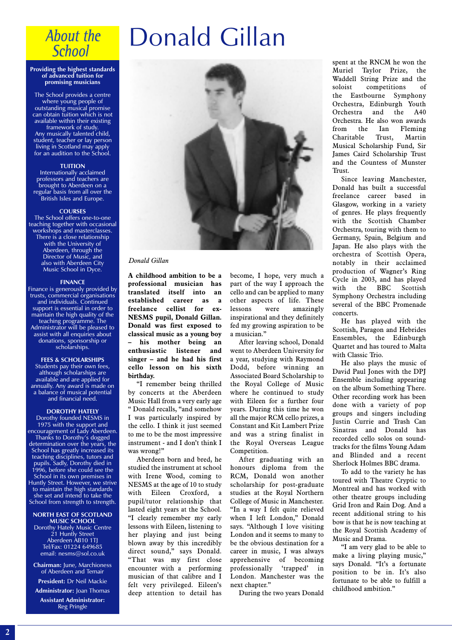### **About the School**

#### **Providing the highest standards of advanced tuition for promising musicians**

The School provides a centre where young people of outstanding musical promise can obtain tuition which is not available within their existing framework of study. Any musically talented child, student, teacher or lay person living in Scotland may apply for an audition to the School.

#### **TUITION**

Internationally acclaimed professors and teachers are brought to Aberdeen on a regular basis from all over the British Isles and Europe.

#### **COURSES**

The School offers one-to-one teaching together with occasional workshops and masterclasses. There is a close relationship with the University of Aberdeen, through the Director of Music, and also with Aberdeen City Music School in Dyce.

#### **FINANCE**

Finance is generously provided by trusts, commercial organisations and individuals. Continued support is essential in order to maintain the high quality of the teaching programme. The Administrator will be pleased to assist with all enquiries about donations, sponsorship or scholarships.

#### **FEES & SCHOLARSHIPS**

Students pay their own fees, although scholarships are available and are applied for annually. Any award is made on a balance of musical potential and financial need.

#### **DOROTHY HATELY**

Dorothy founded NESMS in 1975 with the support and encouragement of Lady Aberdeen. Thanks to Dorothy's dogged determination over the years, the School has greatly increased its teaching disciplines, tutors and pupils. Sadly, Dorothy died in 1996, before she could see the School in its own premises in Huntly Street. However, we strive to maintain the high standards she set and intend to take the School from strength to strength.

#### **NORTH EAST OF SCOTLAND MUSIC SCHOOL**

Dorothy Hately Music Centre 21 Huntly Street Aberdeen AB10 1TJ Tel/Fax: 01224 649685 email: nesms@sol.co.uk

**Chairman:** June, Marchioness of Aberdeen and Temair

**President:** Dr Neil Mackie **Administrator:** Joan Thomas

**Assistant Administrator:** Reg Pringle

# Donald Gillan



#### *Donald Gillan*

**A childhood ambition to be a professional musician has translated itself into an established career as a freelance cellist for ex-NESMS pupil, Donald Gillan. Donald was first exposed to classical music as a young boy – his mother being an enthusiastic listener and singer – and he had his first cello lesson on his sixth birthday.** 

"I remember being thrilled by concerts at the Aberdeen Music Hall from a very early age " Donald recalls, "and somehow I was particularly inspired by the cello. I think it just seemed to me to be the most impressive instrument - and I don't think I was wrong!"

Aberdeen born and bred, he studied the instrument at school with Irene Wood, coming to NESMS at the age of 10 to study with Eileen Croxford, a pupil/tutor relationship that lasted eight years at the School. "I clearly remember my early lessons with Eileen, listening to her playing and just being blown away by this incredibly direct sound," says Donald. "That was my first close encounter with a performing musician of that calibre and I felt very privileged. Eileen's deep attention to detail has

become, I hope, very much a part of the way I approach the cello and can be applied to many other aspects of life. These lessons were amazingly inspirational and they definitely fed my growing aspiration to be a musician."

After leaving school, Donald went to Aberdeen University for a year, studying with Raymond Dodd, before winning an Associated Board Scholarship to the Royal College of Music where he continued to study with Eileen for a further four years. During this time he won all the major RCM cello prizes, a Constant and Kit Lambert Prize and was a string finalist in the Royal Overseas League Competition.

After graduating with an honours diploma from the RCM, Donald won another scholarship for post-graduate studies at the Royal Northern College of Music in Manchester. "In a way I felt quite relieved when I left London," Donald says. "Although I love visiting London and it seems to many to be the obvious destination for a career in music, I was always apprehensive of becoming professionally 'trapped' in London. Manchester was the next chapter."

During the two years Donald

spent at the RNCM he won the Muriel Taylor Prize, the Waddell String Prize and the soloist competitions of the Eastbourne Symphony Orchestra, Edinburgh Youth Orchestra and the A40 Orchestra. He also won awards from the Ian Fleming<br>Charitable Trust, Martin Charitable Musical Scholarship Fund, Sir James Caird Scholarship Trust and the Countess of Munster Trust.

Since leaving Manchester, Donald has built a successful freelance career based in Glasgow, working in a variety of genres. He plays frequently with the Scottish Chamber Orchestra, touring with them to Germany, Spain, Belgium and Japan. He also plays with the orchestra of Scottish Opera, notably in their acclaimed production of Wagner's Ring Cycle in 2003, and has played with the BBC Scottish Symphony Orchestra including several of the BBC Promenade concerts.

He has played with the Scottish, Paragon and Hebrides Ensembles, the Edinburgh Quartet and has toured to Malta with Classic Trio.

He also plays the music of David Paul Jones with the DPI Ensemble including appearing on the album Something There. Other recording work has been done with a variety of pop groups and singers including Justin Currie and Trash Can Sinatras and Donald has recorded cello solos on soundtracks for the films Young Adam and Blinded and a recent Sherlock Holmes BBC drama.

To add to the variety he has toured with Theatre Cryptic to Montreal and has worked with other theatre groups including Grid Iron and Rain Dog. And a recent additional string to his bow is that he is now teaching at the Royal Scottish Academy of Music and Drama.

"I am very glad to be able to make a living playing music," says Donald. "It's a fortunate position to be in. It's also fortunate to be able to fulfill a childhood ambition."